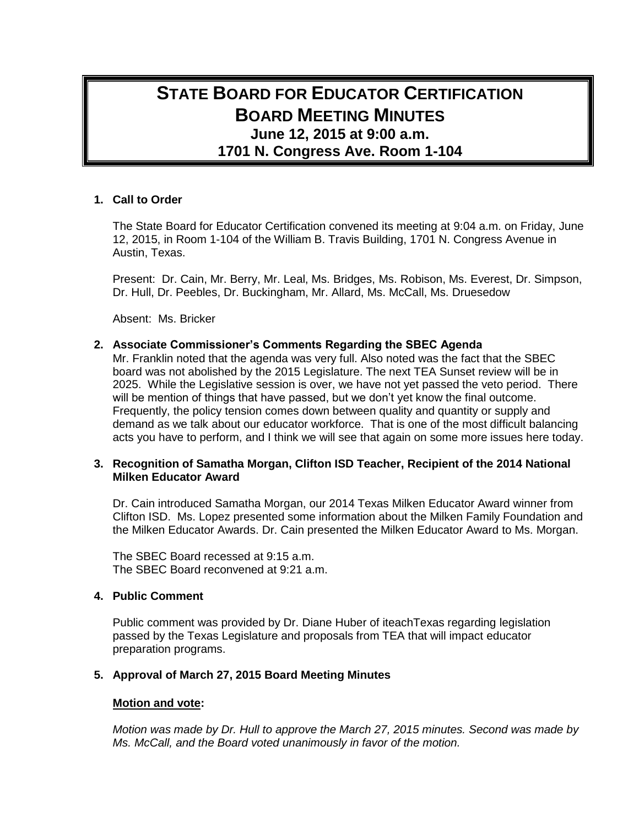# **STATE BOARD FOR EDUCATOR CERTIFICATION BOARD MEETING MINUTES June 12, 2015 at 9:00 a.m. 1701 N. Congress Ave. Room 1-104**

## **1. Call to Order**

The State Board for Educator Certification convened its meeting at 9:04 a.m. on Friday, June 12, 2015, in Room 1-104 of the William B. Travis Building, 1701 N. Congress Avenue in Austin, Texas.

Present: Dr. Cain, Mr. Berry, Mr. Leal, Ms. Bridges, Ms. Robison, Ms. Everest, Dr. Simpson, Dr. Hull, Dr. Peebles, Dr. Buckingham, Mr. Allard, Ms. McCall, Ms. Druesedow

Absent: Ms. Bricker

## **2. Associate Commissioner's Comments Regarding the SBEC Agenda**

Mr. Franklin noted that the agenda was very full. Also noted was the fact that the SBEC board was not abolished by the 2015 Legislature. The next TEA Sunset review will be in 2025. While the Legislative session is over, we have not yet passed the veto period. There will be mention of things that have passed, but we don't yet know the final outcome. Frequently, the policy tension comes down between quality and quantity or supply and demand as we talk about our educator workforce. That is one of the most difficult balancing acts you have to perform, and I think we will see that again on some more issues here today.

## **3. Recognition of Samatha Morgan, Clifton ISD Teacher, Recipient of the 2014 National Milken Educator Award**

Dr. Cain introduced Samatha Morgan, our 2014 Texas Milken Educator Award winner from Clifton ISD. Ms. Lopez presented some information about the Milken Family Foundation and the Milken Educator Awards. Dr. Cain presented the Milken Educator Award to Ms. Morgan.

The SBEC Board recessed at 9:15 a.m. The SBEC Board reconvened at 9:21 a.m.

### **4. Public Comment**

Public comment was provided by Dr. Diane Huber of iteachTexas regarding legislation passed by the Texas Legislature and proposals from TEA that will impact educator preparation programs.

# **5. Approval of March 27, 2015 Board Meeting Minutes**

#### **Motion and vote:**

*Motion was made by Dr. Hull to approve the March 27, 2015 minutes. Second was made by Ms. McCall, and the Board voted unanimously in favor of the motion.*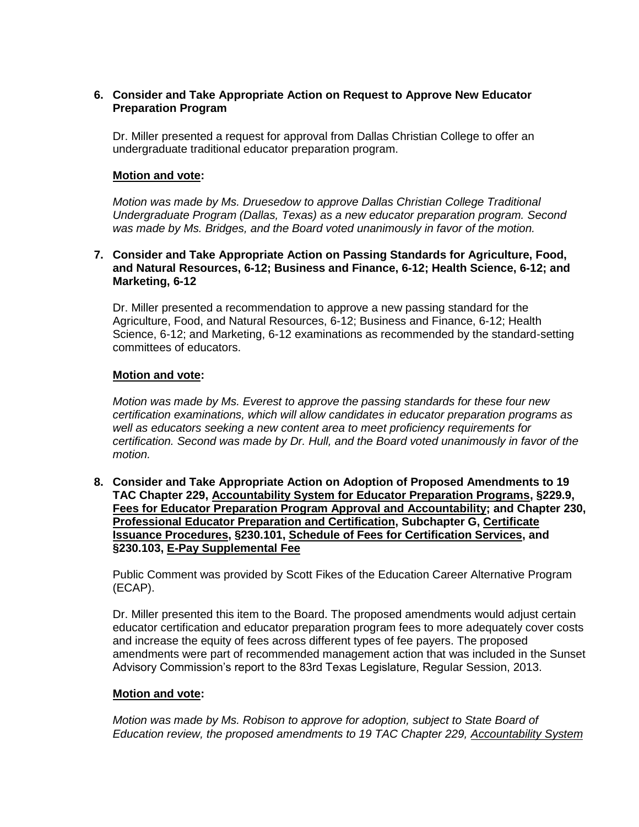# **6. Consider and Take Appropriate Action on Request to Approve New Educator Preparation Program**

Dr. Miller presented a request for approval from Dallas Christian College to offer an undergraduate traditional educator preparation program.

# **Motion and vote:**

*Motion was made by Ms. Druesedow to approve Dallas Christian College Traditional Undergraduate Program (Dallas, Texas) as a new educator preparation program. Second was made by Ms. Bridges, and the Board voted unanimously in favor of the motion.*

### **7. Consider and Take Appropriate Action on Passing Standards for Agriculture, Food, and Natural Resources, 6-12; Business and Finance, 6-12; Health Science, 6-12; and Marketing, 6-12**

Dr. Miller presented a recommendation to approve a new passing standard for the Agriculture, Food, and Natural Resources, 6-12; Business and Finance, 6-12; Health Science, 6-12; and Marketing, 6-12 examinations as recommended by the standard-setting committees of educators.

# **Motion and vote:**

*Motion was made by Ms. Everest to approve the passing standards for these four new certification examinations, which will allow candidates in educator preparation programs as well as educators seeking a new content area to meet proficiency requirements for certification. Second was made by Dr. Hull, and the Board voted unanimously in favor of the motion.*

**8. Consider and Take Appropriate Action on Adoption of Proposed Amendments to 19 TAC Chapter 229, Accountability System for Educator Preparation Programs, §229.9, Fees for Educator Preparation Program Approval and Accountability; and Chapter 230, Professional Educator Preparation and Certification, Subchapter G, Certificate Issuance Procedures, §230.101, Schedule of Fees for Certification Services, and §230.103, E-Pay Supplemental Fee**

Public Comment was provided by Scott Fikes of the Education Career Alternative Program (ECAP).

Dr. Miller presented this item to the Board. The proposed amendments would adjust certain educator certification and educator preparation program fees to more adequately cover costs and increase the equity of fees across different types of fee payers. The proposed amendments were part of recommended management action that was included in the Sunset Advisory Commission's report to the 83rd Texas Legislature, Regular Session, 2013.

# **Motion and vote:**

*Motion was made by Ms. Robison to approve for adoption, subject to State Board of Education review, the proposed amendments to 19 TAC Chapter 229, Accountability System*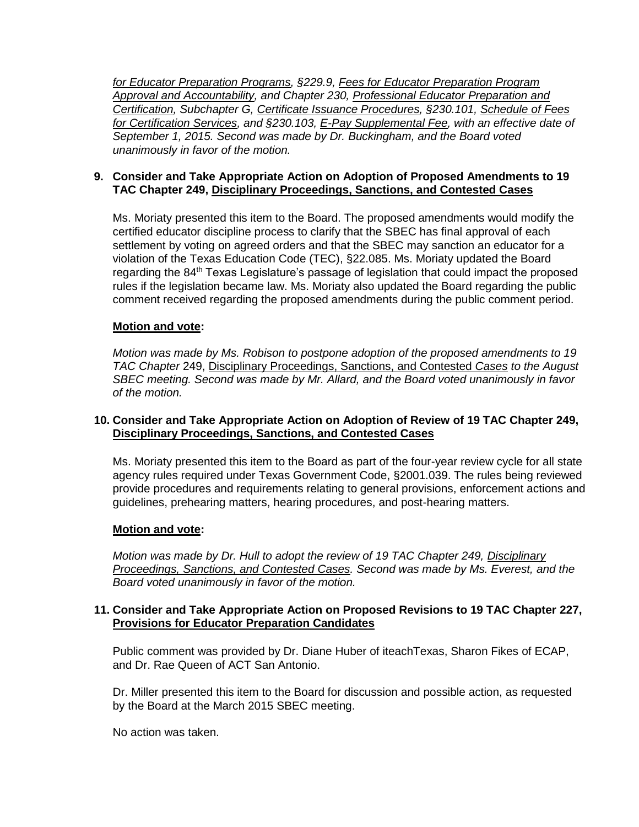*for Educator Preparation Programs, §229.9, Fees for Educator Preparation Program Approval and Accountability, and Chapter 230, Professional Educator Preparation and Certification, Subchapter G, Certificate Issuance Procedures, §230.101, Schedule of Fees for Certification Services, and §230.103, E-Pay Supplemental Fee, with an effective date of September 1, 2015. Second was made by Dr. Buckingham, and the Board voted unanimously in favor of the motion.*

# **9. Consider and Take Appropriate Action on Adoption of Proposed Amendments to 19 TAC Chapter 249, Disciplinary Proceedings, Sanctions, and Contested Cases**

Ms. Moriaty presented this item to the Board. The proposed amendments would modify the certified educator discipline process to clarify that the SBEC has final approval of each settlement by voting on agreed orders and that the SBEC may sanction an educator for a violation of the Texas Education Code (TEC), §22.085. Ms. Moriaty updated the Board regarding the 84<sup>th</sup> Texas Legislature's passage of legislation that could impact the proposed rules if the legislation became law. Ms. Moriaty also updated the Board regarding the public comment received regarding the proposed amendments during the public comment period.

# **Motion and vote:**

*Motion was made by Ms. Robison to postpone adoption of the proposed amendments to 19 TAC Chapter* 249, Disciplinary Proceedings, Sanctions, and Contested *Cases to the August SBEC meeting. Second was made by Mr. Allard, and the Board voted unanimously in favor of the motion.*

# **10. Consider and Take Appropriate Action on Adoption of Review of 19 TAC Chapter 249, Disciplinary Proceedings, Sanctions, and Contested Cases**

Ms. Moriaty presented this item to the Board as part of the four-year review cycle for all state agency rules required under Texas Government Code, §2001.039. The rules being reviewed provide procedures and requirements relating to general provisions, enforcement actions and guidelines, prehearing matters, hearing procedures, and post-hearing matters.

# **Motion and vote:**

*Motion was made by Dr. Hull to adopt the review of 19 TAC Chapter 249, Disciplinary Proceedings, Sanctions, and Contested Cases. Second was made by Ms. Everest, and the Board voted unanimously in favor of the motion.*

## **11. Consider and Take Appropriate Action on Proposed Revisions to 19 TAC Chapter 227, Provisions for Educator Preparation Candidates**

Public comment was provided by Dr. Diane Huber of iteachTexas, Sharon Fikes of ECAP, and Dr. Rae Queen of ACT San Antonio.

Dr. Miller presented this item to the Board for discussion and possible action, as requested by the Board at the March 2015 SBEC meeting.

No action was taken.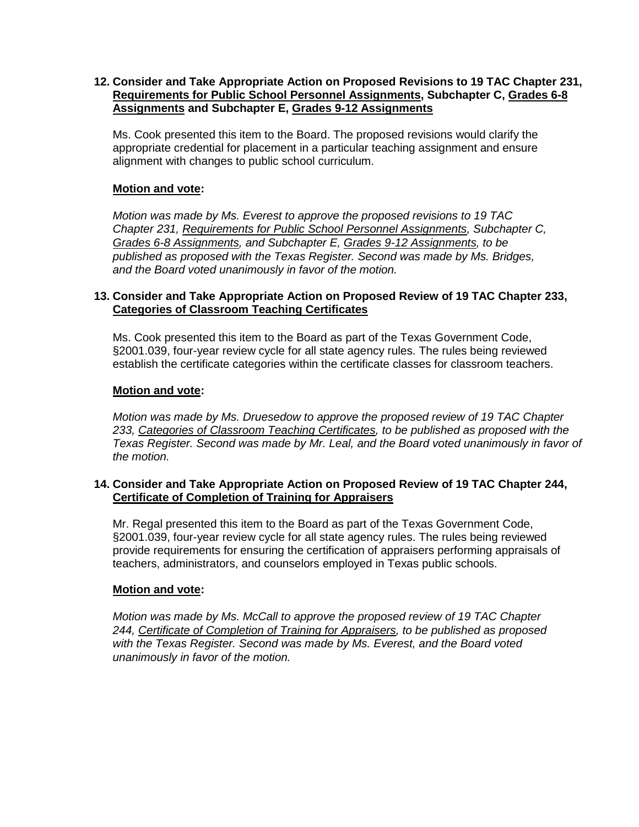# **12. Consider and Take Appropriate Action on Proposed Revisions to 19 TAC Chapter 231, Requirements for Public School Personnel Assignments, Subchapter C, Grades 6-8 Assignments and Subchapter E, Grades 9-12 Assignments**

Ms. Cook presented this item to the Board. The proposed revisions would clarify the appropriate credential for placement in a particular teaching assignment and ensure alignment with changes to public school curriculum.

# **Motion and vote:**

*Motion was made by Ms. Everest to approve the proposed revisions to 19 TAC Chapter 231, Requirements for Public School Personnel Assignments, Subchapter C, Grades 6-8 Assignments, and Subchapter E, Grades 9-12 Assignments, to be published as proposed with the Texas Register. Second was made by Ms. Bridges, and the Board voted unanimously in favor of the motion.*

# **13. Consider and Take Appropriate Action on Proposed Review of 19 TAC Chapter 233, Categories of Classroom Teaching Certificates**

Ms. Cook presented this item to the Board as part of the Texas Government Code, §2001.039, four-year review cycle for all state agency rules. The rules being reviewed establish the certificate categories within the certificate classes for classroom teachers.

# **Motion and vote:**

*Motion was made by Ms. Druesedow to approve the proposed review of 19 TAC Chapter 233, Categories of Classroom Teaching Certificates, to be published as proposed with the Texas Register. Second was made by Mr. Leal, and the Board voted unanimously in favor of the motion.*

# **14. Consider and Take Appropriate Action on Proposed Review of 19 TAC Chapter 244, Certificate of Completion of Training for Appraisers**

Mr. Regal presented this item to the Board as part of the Texas Government Code, §2001.039, four-year review cycle for all state agency rules. The rules being reviewed provide requirements for ensuring the certification of appraisers performing appraisals of teachers, administrators, and counselors employed in Texas public schools.

# **Motion and vote:**

*Motion was made by Ms. McCall to approve the proposed review of 19 TAC Chapter 244, Certificate of Completion of Training for Appraisers, to be published as proposed with the Texas Register. Second was made by Ms. Everest, and the Board voted unanimously in favor of the motion.*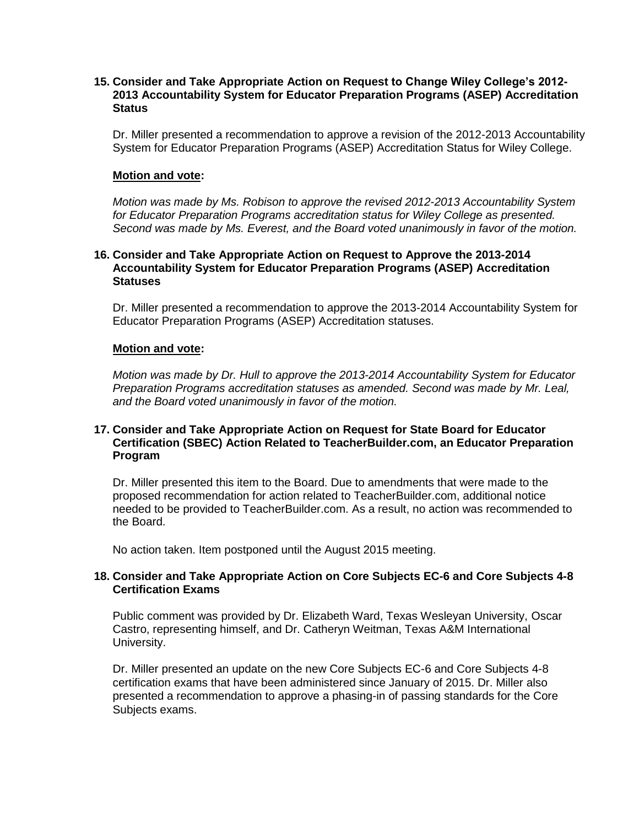## **15. Consider and Take Appropriate Action on Request to Change Wiley College's 2012- 2013 Accountability System for Educator Preparation Programs (ASEP) Accreditation Status**

Dr. Miller presented a recommendation to approve a revision of the 2012-2013 Accountability System for Educator Preparation Programs (ASEP) Accreditation Status for Wiley College.

#### **Motion and vote:**

*Motion was made by Ms. Robison to approve the revised 2012-2013 Accountability System for Educator Preparation Programs accreditation status for Wiley College as presented. Second was made by Ms. Everest, and the Board voted unanimously in favor of the motion.*

#### **16. Consider and Take Appropriate Action on Request to Approve the 2013-2014 Accountability System for Educator Preparation Programs (ASEP) Accreditation Statuses**

Dr. Miller presented a recommendation to approve the 2013-2014 Accountability System for Educator Preparation Programs (ASEP) Accreditation statuses.

## **Motion and vote:**

*Motion was made by Dr. Hull to approve the 2013-2014 Accountability System for Educator Preparation Programs accreditation statuses as amended. Second was made by Mr. Leal, and the Board voted unanimously in favor of the motion.*

### **17. Consider and Take Appropriate Action on Request for State Board for Educator Certification (SBEC) Action Related to TeacherBuilder.com, an Educator Preparation Program**

Dr. Miller presented this item to the Board. Due to amendments that were made to the proposed recommendation for action related to TeacherBuilder.com, additional notice needed to be provided to TeacherBuilder.com. As a result, no action was recommended to the Board.

No action taken. Item postponed until the August 2015 meeting.

## **18. Consider and Take Appropriate Action on Core Subjects EC-6 and Core Subjects 4-8 Certification Exams**

Public comment was provided by Dr. Elizabeth Ward, Texas Wesleyan University, Oscar Castro, representing himself, and Dr. Catheryn Weitman, Texas A&M International University.

Dr. Miller presented an update on the new Core Subjects EC-6 and Core Subjects 4-8 certification exams that have been administered since January of 2015. Dr. Miller also presented a recommendation to approve a phasing-in of passing standards for the Core Subjects exams.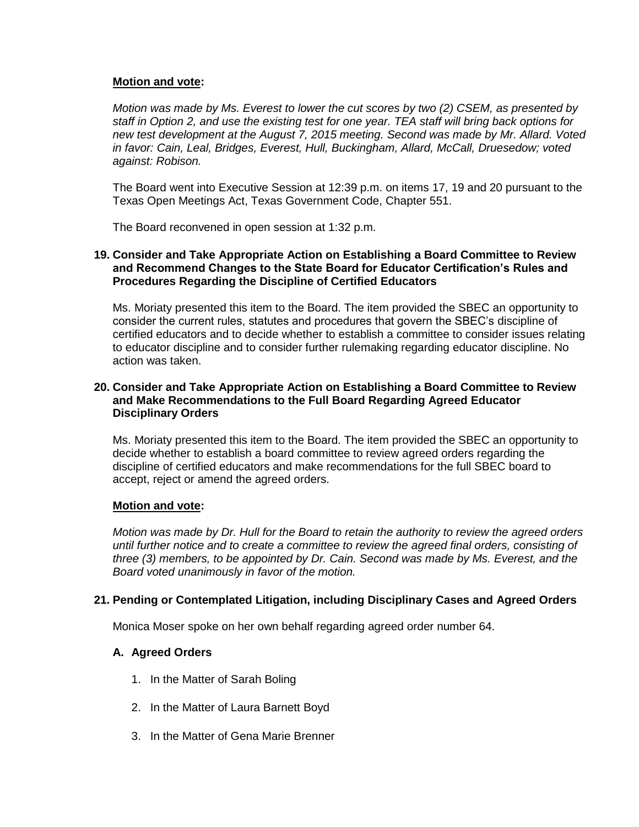# **Motion and vote:**

*Motion was made by Ms. Everest to lower the cut scores by two (2) CSEM, as presented by staff in Option 2, and use the existing test for one year. TEA staff will bring back options for new test development at the August 7, 2015 meeting. Second was made by Mr. Allard. Voted in favor: Cain, Leal, Bridges, Everest, Hull, Buckingham, Allard, McCall, Druesedow; voted against: Robison.*

The Board went into Executive Session at 12:39 p.m. on items 17, 19 and 20 pursuant to the Texas Open Meetings Act, Texas Government Code, Chapter 551.

The Board reconvened in open session at 1:32 p.m.

### **19. Consider and Take Appropriate Action on Establishing a Board Committee to Review and Recommend Changes to the State Board for Educator Certification's Rules and Procedures Regarding the Discipline of Certified Educators**

Ms. Moriaty presented this item to the Board. The item provided the SBEC an opportunity to consider the current rules, statutes and procedures that govern the SBEC's discipline of certified educators and to decide whether to establish a committee to consider issues relating to educator discipline and to consider further rulemaking regarding educator discipline. No action was taken.

## **20. Consider and Take Appropriate Action on Establishing a Board Committee to Review and Make Recommendations to the Full Board Regarding Agreed Educator Disciplinary Orders**

Ms. Moriaty presented this item to the Board. The item provided the SBEC an opportunity to decide whether to establish a board committee to review agreed orders regarding the discipline of certified educators and make recommendations for the full SBEC board to accept, reject or amend the agreed orders.

#### **Motion and vote:**

*Motion was made by Dr. Hull for the Board to retain the authority to review the agreed orders until further notice and to create a committee to review the agreed final orders, consisting of three (3) members, to be appointed by Dr. Cain. Second was made by Ms. Everest, and the Board voted unanimously in favor of the motion.*

# **21. Pending or Contemplated Litigation, including Disciplinary Cases and Agreed Orders**

Monica Moser spoke on her own behalf regarding agreed order number 64.

#### **A. Agreed Orders**

- 1. In the Matter of Sarah Boling
- 2. In the Matter of Laura Barnett Boyd
- 3. In the Matter of Gena Marie Brenner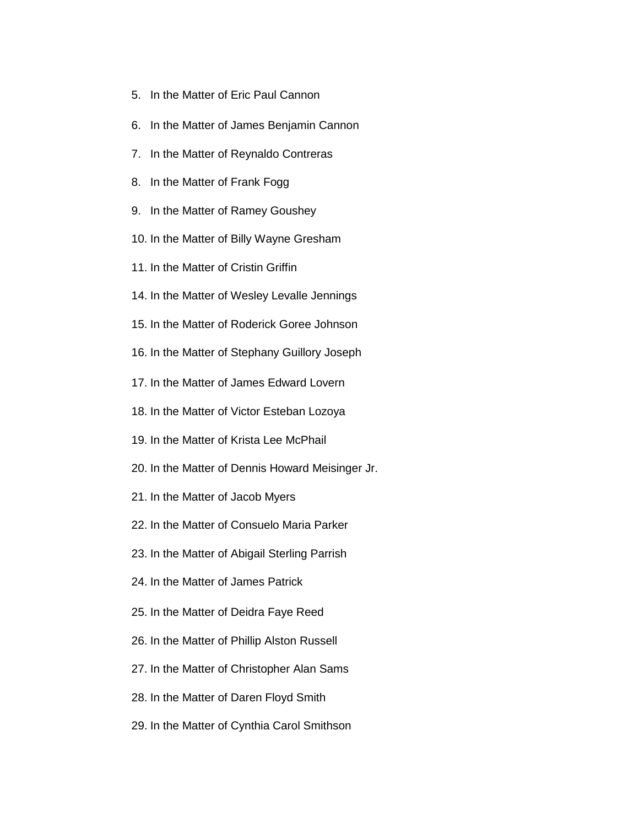- 5. In the Matter of Eric Paul Cannon
- 6. In the Matter of James Benjamin Cannon
- 7. In the Matter of Reynaldo Contreras
- 8. In the Matter of Frank Fogg
- 9. In the Matter of Ramey Goushey
- 10. In the Matter of Billy Wayne Gresham
- 11. In the Matter of Cristin Griffin
- 14. In the Matter of Wesley Levalle Jennings
- 15. In the Matter of Roderick Goree Johnson
- 16. In the Matter of Stephany Guillory Joseph
- 17. In the Matter of James Edward Lovern
- 18. In the Matter of Victor Esteban Lozoya
- 19. In the Matter of Krista Lee McPhail
- 20. In the Matter of Dennis Howard Meisinger Jr.
- 21. In the Matter of Jacob Myers
- 22. In the Matter of Consuelo Maria Parker
- 23. In the Matter of Abigail Sterling Parrish
- 24. In the Matter of James Patrick
- 25. In the Matter of Deidra Faye Reed
- 26. In the Matter of Phillip Alston Russell
- 27. In the Matter of Christopher Alan Sams
- 28. In the Matter of Daren Floyd Smith
- 29. In the Matter of Cynthia Carol Smithson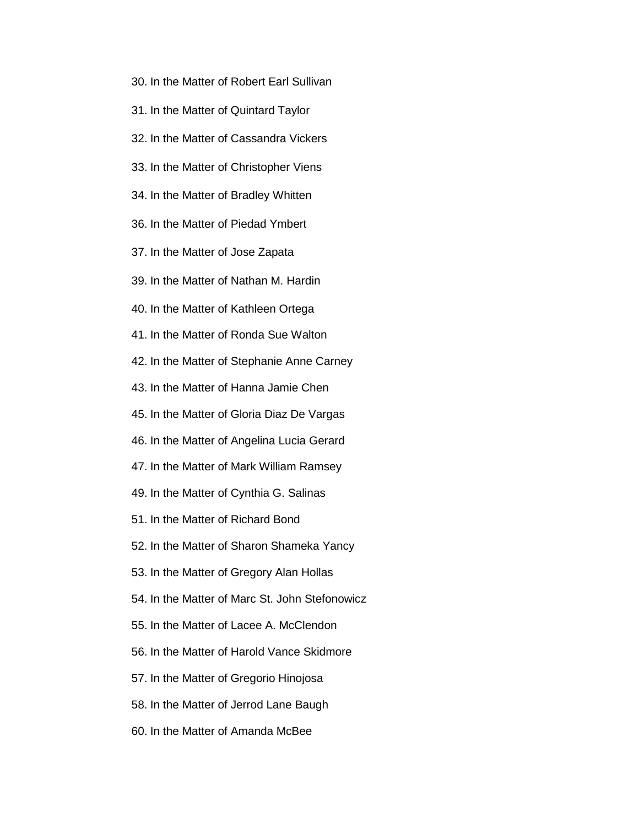- 30. In the Matter of Robert Earl Sullivan
- 31. In the Matter of Quintard Taylor
- 32. In the Matter of Cassandra Vickers
- 33. In the Matter of Christopher Viens
- 34. In the Matter of Bradley Whitten
- 36. In the Matter of Piedad Ymbert
- 37. In the Matter of Jose Zapata
- 39. In the Matter of Nathan M. Hardin
- 40. In the Matter of Kathleen Ortega
- 41. In the Matter of Ronda Sue Walton
- 42. In the Matter of Stephanie Anne Carney
- 43. In the Matter of Hanna Jamie Chen
- 45. In the Matter of Gloria Diaz De Vargas
- 46. In the Matter of Angelina Lucia Gerard
- 47. In the Matter of Mark William Ramsey
- 49. In the Matter of Cynthia G. Salinas
- 51. In the Matter of Richard Bond
- 52. In the Matter of Sharon Shameka Yancy
- 53. In the Matter of Gregory Alan Hollas
- 54. In the Matter of Marc St. John Stefonowicz
- 55. In the Matter of Lacee A. McClendon
- 56. In the Matter of Harold Vance Skidmore
- 57. In the Matter of Gregorio Hinojosa
- 58. In the Matter of Jerrod Lane Baugh
- 60. In the Matter of Amanda McBee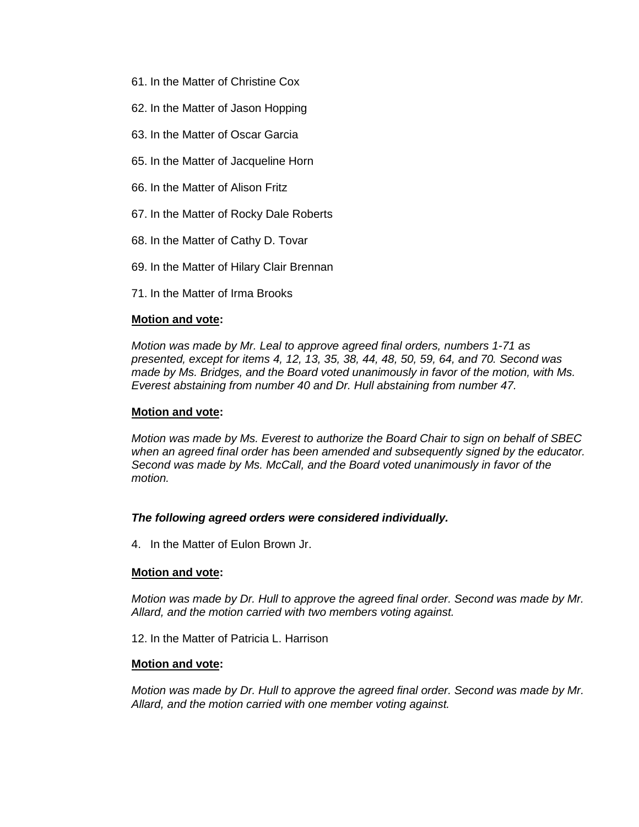- 61. In the Matter of Christine Cox
- 62. In the Matter of Jason Hopping
- 63. In the Matter of Oscar Garcia
- 65. In the Matter of Jacqueline Horn
- 66. In the Matter of Alison Fritz
- 67. In the Matter of Rocky Dale Roberts
- 68. In the Matter of Cathy D. Tovar
- 69. In the Matter of Hilary Clair Brennan
- 71. In the Matter of Irma Brooks

#### **Motion and vote:**

*Motion was made by Mr. Leal to approve agreed final orders, numbers 1-71 as presented, except for items 4, 12, 13, 35, 38, 44, 48, 50, 59, 64, and 70. Second was made by Ms. Bridges, and the Board voted unanimously in favor of the motion, with Ms. Everest abstaining from number 40 and Dr. Hull abstaining from number 47.*

#### **Motion and vote:**

*Motion was made by Ms. Everest to authorize the Board Chair to sign on behalf of SBEC when an agreed final order has been amended and subsequently signed by the educator. Second was made by Ms. McCall, and the Board voted unanimously in favor of the motion.*

#### *The following agreed orders were considered individually.*

4. In the Matter of Eulon Brown Jr.

#### **Motion and vote:**

*Motion was made by Dr. Hull to approve the agreed final order. Second was made by Mr. Allard, and the motion carried with two members voting against.*

12. In the Matter of Patricia L. Harrison

#### **Motion and vote:**

*Motion was made by Dr. Hull to approve the agreed final order. Second was made by Mr. Allard, and the motion carried with one member voting against.*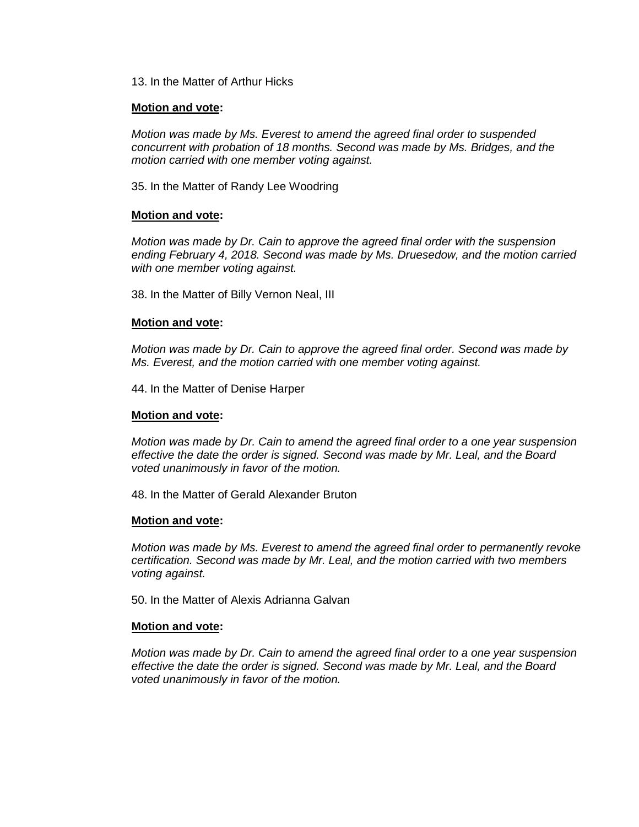13. In the Matter of Arthur Hicks

#### **Motion and vote:**

*Motion was made by Ms. Everest to amend the agreed final order to suspended concurrent with probation of 18 months. Second was made by Ms. Bridges, and the motion carried with one member voting against.*

35. In the Matter of Randy Lee Woodring

## **Motion and vote:**

*Motion was made by Dr. Cain to approve the agreed final order with the suspension ending February 4, 2018. Second was made by Ms. Druesedow, and the motion carried with one member voting against.*

38. In the Matter of Billy Vernon Neal, III

#### **Motion and vote:**

*Motion was made by Dr. Cain to approve the agreed final order. Second was made by Ms. Everest, and the motion carried with one member voting against.*

44. In the Matter of Denise Harper

#### **Motion and vote:**

*Motion was made by Dr. Cain to amend the agreed final order to a one year suspension effective the date the order is signed. Second was made by Mr. Leal, and the Board voted unanimously in favor of the motion.*

48. In the Matter of Gerald Alexander Bruton

#### **Motion and vote:**

*Motion was made by Ms. Everest to amend the agreed final order to permanently revoke certification. Second was made by Mr. Leal, and the motion carried with two members voting against.*

50. In the Matter of Alexis Adrianna Galvan

#### **Motion and vote:**

*Motion was made by Dr. Cain to amend the agreed final order to a one year suspension effective the date the order is signed. Second was made by Mr. Leal, and the Board voted unanimously in favor of the motion.*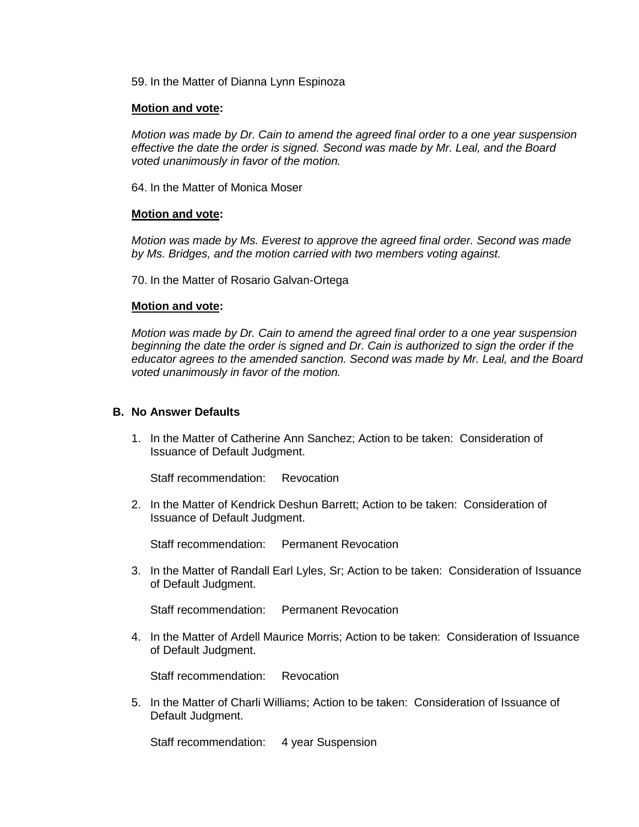59. In the Matter of Dianna Lynn Espinoza

#### **Motion and vote:**

*Motion was made by Dr. Cain to amend the agreed final order to a one year suspension effective the date the order is signed. Second was made by Mr. Leal, and the Board voted unanimously in favor of the motion.*

64. In the Matter of Monica Moser

#### **Motion and vote:**

*Motion was made by Ms. Everest to approve the agreed final order. Second was made by Ms. Bridges, and the motion carried with two members voting against.*

70. In the Matter of Rosario Galvan-Ortega

#### **Motion and vote:**

*Motion was made by Dr. Cain to amend the agreed final order to a one year suspension beginning the date the order is signed and Dr. Cain is authorized to sign the order if the educator agrees to the amended sanction. Second was made by Mr. Leal, and the Board voted unanimously in favor of the motion.*

#### **B. No Answer Defaults**

1. In the Matter of Catherine Ann Sanchez; Action to be taken: Consideration of Issuance of Default Judgment.

Staff recommendation: Revocation

2. In the Matter of Kendrick Deshun Barrett; Action to be taken: Consideration of Issuance of Default Judgment.

Staff recommendation: Permanent Revocation

3. In the Matter of Randall Earl Lyles, Sr; Action to be taken: Consideration of Issuance of Default Judgment.

Staff recommendation: Permanent Revocation

4. In the Matter of Ardell Maurice Morris; Action to be taken: Consideration of Issuance of Default Judgment.

Staff recommendation: Revocation

5. In the Matter of Charli Williams; Action to be taken: Consideration of Issuance of Default Judgment.

Staff recommendation: 4 year Suspension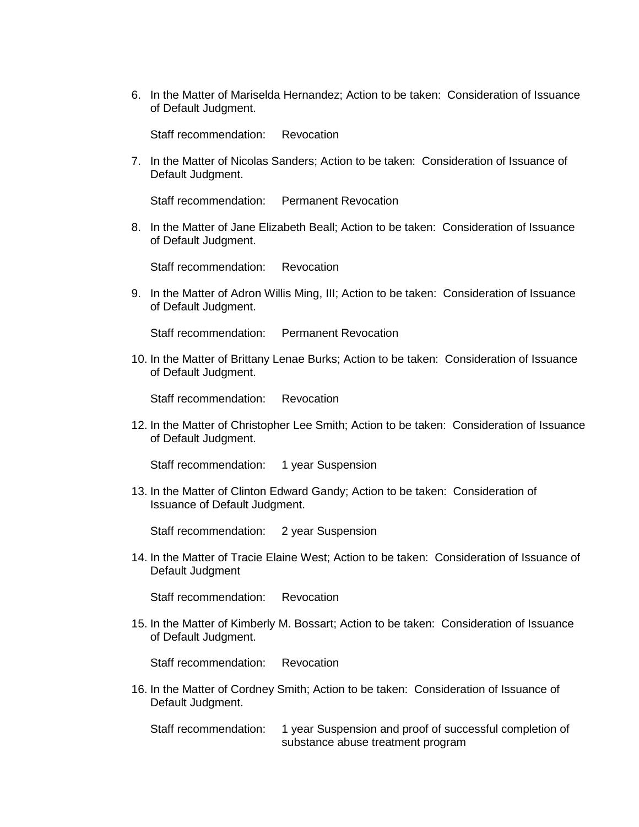6. In the Matter of Mariselda Hernandez; Action to be taken: Consideration of Issuance of Default Judgment.

Staff recommendation: Revocation

7. In the Matter of Nicolas Sanders; Action to be taken: Consideration of Issuance of Default Judgment.

Staff recommendation: Permanent Revocation

8. In the Matter of Jane Elizabeth Beall; Action to be taken: Consideration of Issuance of Default Judgment.

Staff recommendation: Revocation

9. In the Matter of Adron Willis Ming, III; Action to be taken: Consideration of Issuance of Default Judgment.

Staff recommendation: Permanent Revocation

10. In the Matter of Brittany Lenae Burks; Action to be taken: Consideration of Issuance of Default Judgment.

Staff recommendation: Revocation

12. In the Matter of Christopher Lee Smith; Action to be taken: Consideration of Issuance of Default Judgment.

Staff recommendation: 1 year Suspension

13. In the Matter of Clinton Edward Gandy; Action to be taken: Consideration of Issuance of Default Judgment.

Staff recommendation: 2 year Suspension

14. In the Matter of Tracie Elaine West; Action to be taken: Consideration of Issuance of Default Judgment

Staff recommendation: Revocation

15. In the Matter of Kimberly M. Bossart; Action to be taken: Consideration of Issuance of Default Judgment.

Staff recommendation: Revocation

16. In the Matter of Cordney Smith; Action to be taken: Consideration of Issuance of Default Judgment.

Staff recommendation: 1 year Suspension and proof of successful completion of substance abuse treatment program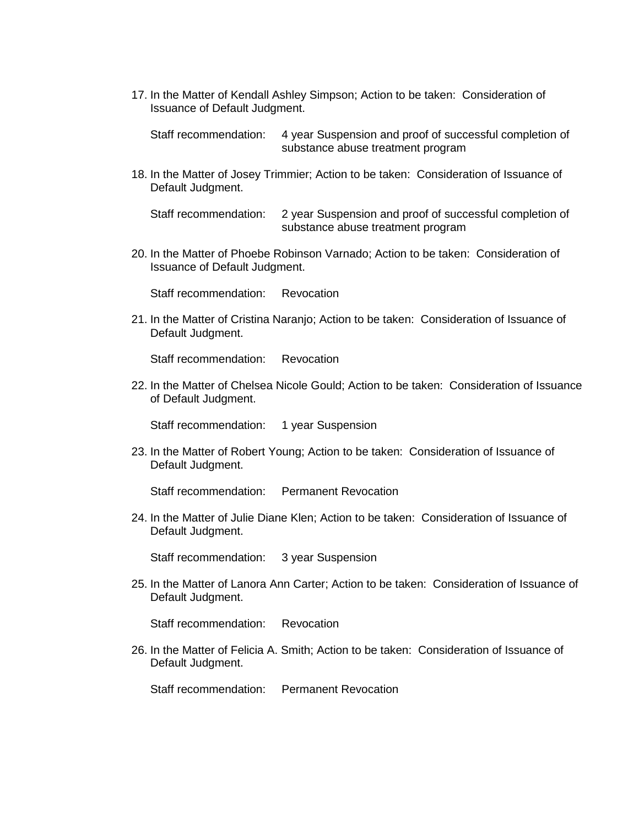17. In the Matter of Kendall Ashley Simpson; Action to be taken: Consideration of Issuance of Default Judgment.

Staff recommendation: 4 year Suspension and proof of successful completion of substance abuse treatment program

18. In the Matter of Josey Trimmier; Action to be taken: Consideration of Issuance of Default Judgment.

Staff recommendation: 2 year Suspension and proof of successful completion of substance abuse treatment program

20. In the Matter of Phoebe Robinson Varnado; Action to be taken: Consideration of Issuance of Default Judgment.

Staff recommendation: Revocation

21. In the Matter of Cristina Naranjo; Action to be taken: Consideration of Issuance of Default Judgment.

Staff recommendation: Revocation

22. In the Matter of Chelsea Nicole Gould; Action to be taken: Consideration of Issuance of Default Judgment.

Staff recommendation: 1 year Suspension

23. In the Matter of Robert Young; Action to be taken: Consideration of Issuance of Default Judgment.

Staff recommendation: Permanent Revocation

24. In the Matter of Julie Diane Klen; Action to be taken: Consideration of Issuance of Default Judgment.

Staff recommendation: 3 year Suspension

25. In the Matter of Lanora Ann Carter; Action to be taken: Consideration of Issuance of Default Judgment.

Staff recommendation: Revocation

26. In the Matter of Felicia A. Smith; Action to be taken: Consideration of Issuance of Default Judgment.

Staff recommendation: Permanent Revocation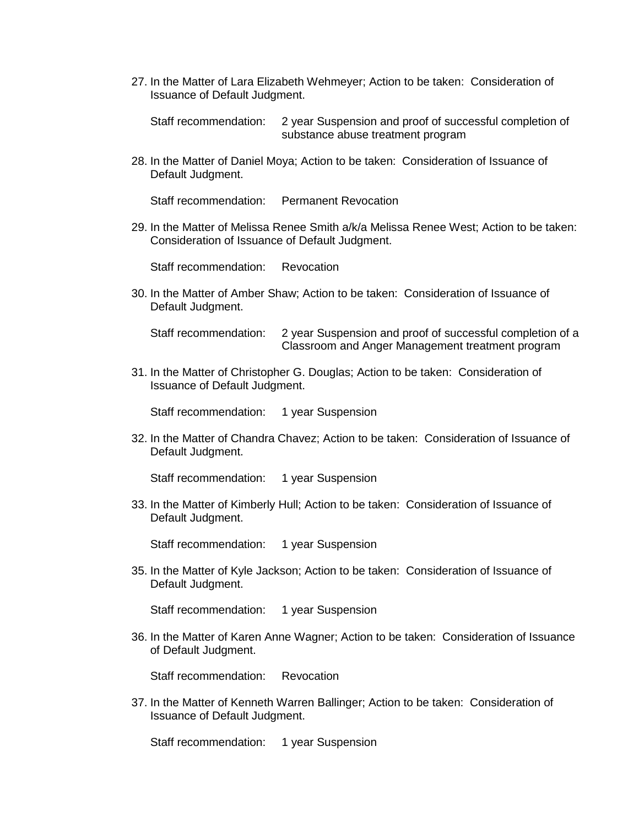27. In the Matter of Lara Elizabeth Wehmeyer; Action to be taken: Consideration of Issuance of Default Judgment.

Staff recommendation: 2 year Suspension and proof of successful completion of substance abuse treatment program

28. In the Matter of Daniel Moya; Action to be taken: Consideration of Issuance of Default Judgment.

Staff recommendation: Permanent Revocation

29. In the Matter of Melissa Renee Smith a/k/a Melissa Renee West; Action to be taken: Consideration of Issuance of Default Judgment.

Staff recommendation: Revocation

30. In the Matter of Amber Shaw; Action to be taken: Consideration of Issuance of Default Judgment.

Staff recommendation: 2 year Suspension and proof of successful completion of a Classroom and Anger Management treatment program

31. In the Matter of Christopher G. Douglas; Action to be taken: Consideration of Issuance of Default Judgment.

Staff recommendation: 1 year Suspension

32. In the Matter of Chandra Chavez; Action to be taken: Consideration of Issuance of Default Judgment.

Staff recommendation: 1 year Suspension

33. In the Matter of Kimberly Hull; Action to be taken: Consideration of Issuance of Default Judgment.

Staff recommendation: 1 year Suspension

35. In the Matter of Kyle Jackson; Action to be taken: Consideration of Issuance of Default Judgment.

Staff recommendation: 1 year Suspension

36. In the Matter of Karen Anne Wagner; Action to be taken: Consideration of Issuance of Default Judgment.

Staff recommendation: Revocation

37. In the Matter of Kenneth Warren Ballinger; Action to be taken: Consideration of Issuance of Default Judgment.

Staff recommendation: 1 year Suspension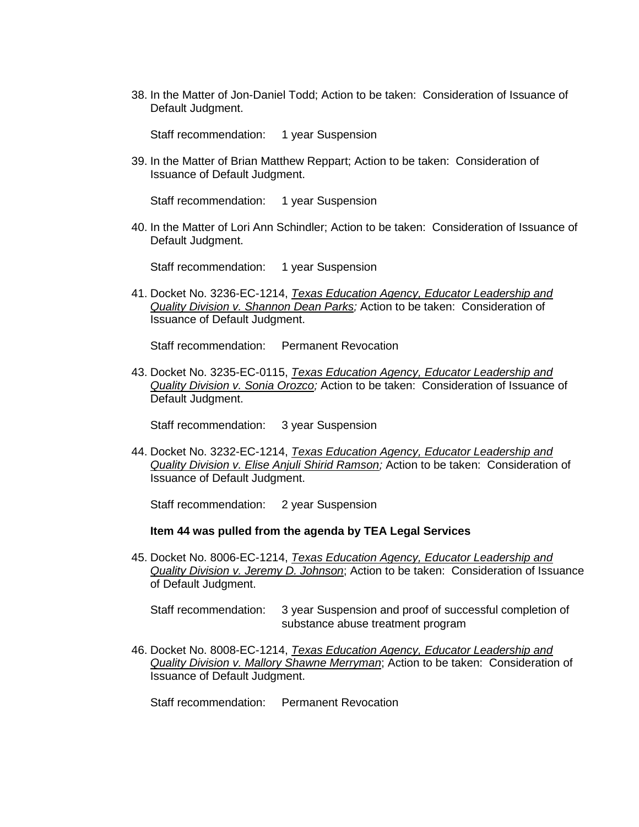38. In the Matter of Jon-Daniel Todd; Action to be taken: Consideration of Issuance of Default Judgment.

Staff recommendation: 1 year Suspension

39. In the Matter of Brian Matthew Reppart; Action to be taken: Consideration of Issuance of Default Judgment.

Staff recommendation: 1 year Suspension

40. In the Matter of Lori Ann Schindler; Action to be taken: Consideration of Issuance of Default Judgment.

Staff recommendation: 1 year Suspension

41. Docket No. 3236-EC-1214, *Texas Education Agency, Educator Leadership and Quality Division v. Shannon Dean Parks;* Action to be taken: Consideration of Issuance of Default Judgment.

Staff recommendation: Permanent Revocation

43. Docket No. 3235-EC-0115, *Texas Education Agency, Educator Leadership and Quality Division v. Sonia Orozco;* Action to be taken: Consideration of Issuance of Default Judgment.

Staff recommendation: 3 year Suspension

44. Docket No. 3232-EC-1214, *Texas Education Agency, Educator Leadership and Quality Division v. Elise Anjuli Shirid Ramson;* Action to be taken: Consideration of Issuance of Default Judgment.

Staff recommendation: 2 year Suspension

#### **Item 44 was pulled from the agenda by TEA Legal Services**

45. Docket No. 8006-EC-1214, *Texas Education Agency, Educator Leadership and Quality Division v. Jeremy D. Johnson*; Action to be taken: Consideration of Issuance of Default Judgment.

Staff recommendation: 3 year Suspension and proof of successful completion of substance abuse treatment program

46. Docket No. 8008-EC-1214, *Texas Education Agency, Educator Leadership and Quality Division v. Mallory Shawne Merryman*; Action to be taken: Consideration of Issuance of Default Judgment.

Staff recommendation: Permanent Revocation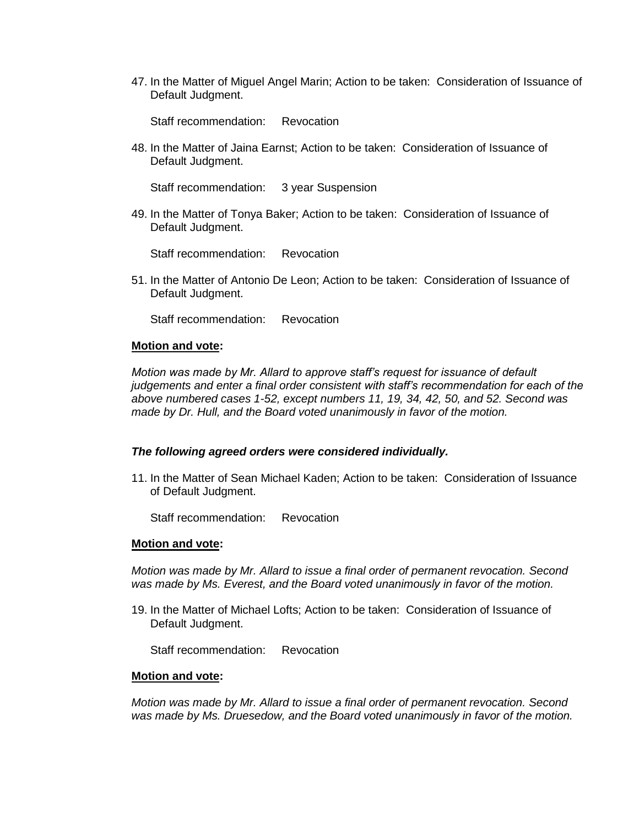47. In the Matter of Miguel Angel Marin; Action to be taken: Consideration of Issuance of Default Judgment.

Staff recommendation: Revocation

48. In the Matter of Jaina Earnst; Action to be taken: Consideration of Issuance of Default Judgment.

Staff recommendation: 3 year Suspension

49. In the Matter of Tonya Baker; Action to be taken: Consideration of Issuance of Default Judgment.

Staff recommendation: Revocation

51. In the Matter of Antonio De Leon; Action to be taken: Consideration of Issuance of Default Judgment.

Staff recommendation: Revocation

#### **Motion and vote:**

*Motion was made by Mr. Allard to approve staff's request for issuance of default judgements and enter a final order consistent with staff's recommendation for each of the above numbered cases 1-52, except numbers 11, 19, 34, 42, 50, and 52. Second was made by Dr. Hull, and the Board voted unanimously in favor of the motion.*

#### *The following agreed orders were considered individually.*

11. In the Matter of Sean Michael Kaden; Action to be taken: Consideration of Issuance of Default Judgment.

Staff recommendation: Revocation

#### **Motion and vote:**

*Motion was made by Mr. Allard to issue a final order of permanent revocation. Second was made by Ms. Everest, and the Board voted unanimously in favor of the motion.*

19. In the Matter of Michael Lofts; Action to be taken: Consideration of Issuance of Default Judgment.

Staff recommendation: Revocation

#### **Motion and vote:**

*Motion was made by Mr. Allard to issue a final order of permanent revocation. Second was made by Ms. Druesedow, and the Board voted unanimously in favor of the motion.*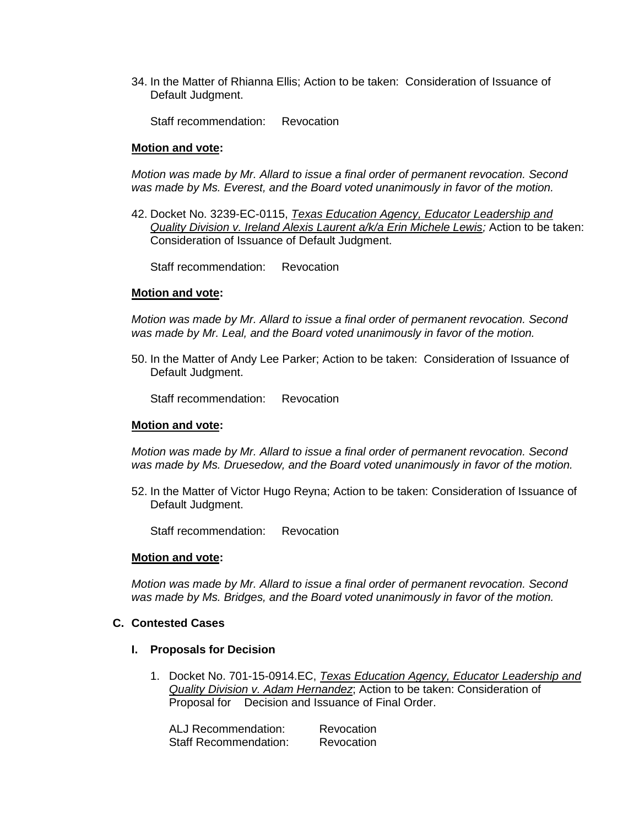34. In the Matter of Rhianna Ellis; Action to be taken: Consideration of Issuance of Default Judgment.

Staff recommendation: Revocation

#### **Motion and vote:**

*Motion was made by Mr. Allard to issue a final order of permanent revocation. Second was made by Ms. Everest, and the Board voted unanimously in favor of the motion.*

42. Docket No. 3239-EC-0115, *Texas Education Agency, Educator Leadership and Quality Division v. Ireland Alexis Laurent a/k/a Erin Michele Lewis;* Action to be taken: Consideration of Issuance of Default Judgment.

Staff recommendation: Revocation

#### **Motion and vote:**

*Motion was made by Mr. Allard to issue a final order of permanent revocation. Second was made by Mr. Leal, and the Board voted unanimously in favor of the motion.*

50. In the Matter of Andy Lee Parker; Action to be taken: Consideration of Issuance of Default Judgment.

Staff recommendation: Revocation

#### **Motion and vote:**

*Motion was made by Mr. Allard to issue a final order of permanent revocation. Second was made by Ms. Druesedow, and the Board voted unanimously in favor of the motion.*

52. In the Matter of Victor Hugo Reyna; Action to be taken: Consideration of Issuance of Default Judgment.

Staff recommendation: Revocation

#### **Motion and vote:**

*Motion was made by Mr. Allard to issue a final order of permanent revocation. Second was made by Ms. Bridges, and the Board voted unanimously in favor of the motion.*

#### **C. Contested Cases**

#### **I. Proposals for Decision**

1. Docket No. 701-15-0914.EC, *Texas Education Agency, Educator Leadership and Quality Division v. Adam Hernandez*; Action to be taken: Consideration of Proposal for Decision and Issuance of Final Order.

| ALJ Recommendation:          | Revocation |
|------------------------------|------------|
| <b>Staff Recommendation:</b> | Revocation |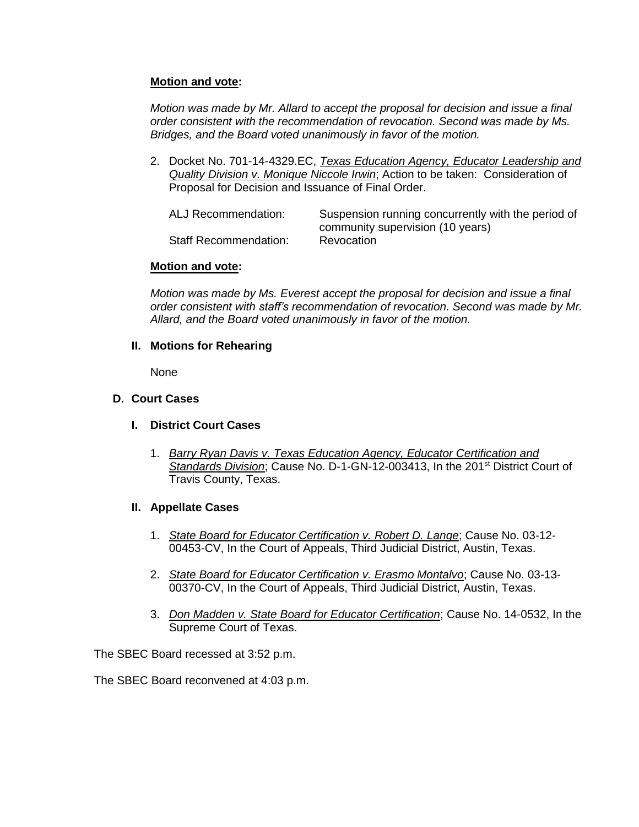# **Motion and vote:**

*Motion was made by Mr. Allard to accept the proposal for decision and issue a final order consistent with the recommendation of revocation. Second was made by Ms. Bridges, and the Board voted unanimously in favor of the motion.*

2. Docket No. 701-14-4329.EC, *Texas Education Agency, Educator Leadership and Quality Division v. Monique Niccole Irwin*; Action to be taken: Consideration of Proposal for Decision and Issuance of Final Order.

| ALJ Recommendation:          | Suspension running concurrently with the period of |
|------------------------------|----------------------------------------------------|
|                              | community supervision (10 years)                   |
| <b>Staff Recommendation:</b> | Revocation                                         |

# **Motion and vote:**

*Motion was made by Ms. Everest accept the proposal for decision and issue a final order consistent with staff's recommendation of revocation. Second was made by Mr. Allard, and the Board voted unanimously in favor of the motion.*

## **II. Motions for Rehearing**

None

# **D. Court Cases**

- **I. District Court Cases**
	- 1. *Barry Ryan Davis v. Texas Education Agency, Educator Certification and Standards Division*; Cause No. D-1-GN-12-003413, In the 201st District Court of Travis County, Texas.

# **II. Appellate Cases**

- 1. *State Board for Educator Certification v. Robert D. Lange*; Cause No. 03-12- 00453-CV, In the Court of Appeals, Third Judicial District, Austin, Texas.
- 2. *State Board for Educator Certification v. Erasmo Montalvo*; Cause No. 03-13- 00370-CV, In the Court of Appeals, Third Judicial District, Austin, Texas.
- 3. *Don Madden v. State Board for Educator Certification*; Cause No. 14-0532, In the Supreme Court of Texas.

The SBEC Board recessed at 3:52 p.m.

The SBEC Board reconvened at 4:03 p.m.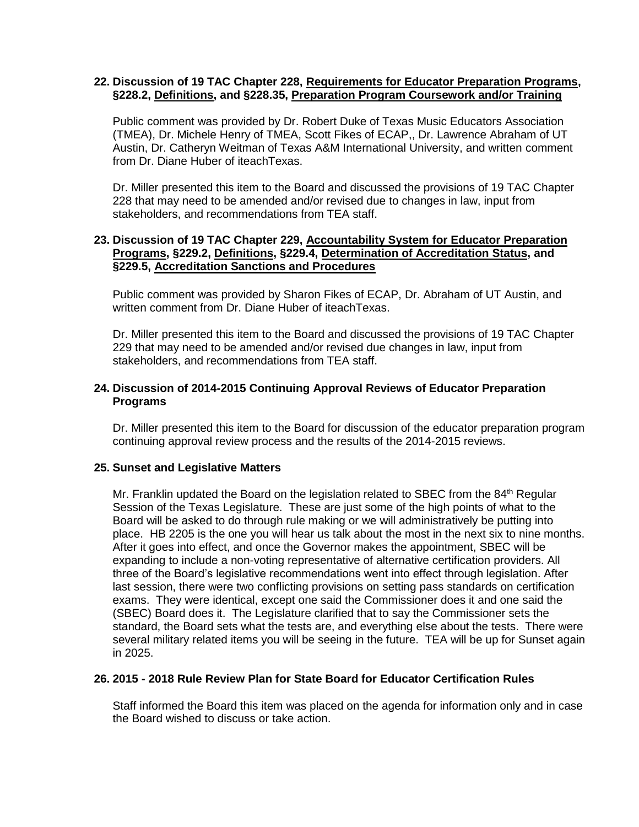## **22. Discussion of 19 TAC Chapter 228, Requirements for Educator Preparation Programs, §228.2, Definitions, and §228.35, Preparation Program Coursework and/or Training**

Public comment was provided by Dr. Robert Duke of Texas Music Educators Association (TMEA), Dr. Michele Henry of TMEA, Scott Fikes of ECAP,, Dr. Lawrence Abraham of UT Austin, Dr. Catheryn Weitman of Texas A&M International University, and written comment from Dr. Diane Huber of iteachTexas.

Dr. Miller presented this item to the Board and discussed the provisions of 19 TAC Chapter 228 that may need to be amended and/or revised due to changes in law, input from stakeholders, and recommendations from TEA staff.

### **23. Discussion of 19 TAC Chapter 229, Accountability System for Educator Preparation Programs, §229.2, Definitions, §229.4, Determination of Accreditation Status, and §229.5, Accreditation Sanctions and Procedures**

Public comment was provided by Sharon Fikes of ECAP, Dr. Abraham of UT Austin, and written comment from Dr. Diane Huber of iteachTexas.

Dr. Miller presented this item to the Board and discussed the provisions of 19 TAC Chapter 229 that may need to be amended and/or revised due changes in law, input from stakeholders, and recommendations from TEA staff.

# **24. Discussion of 2014-2015 Continuing Approval Reviews of Educator Preparation Programs**

Dr. Miller presented this item to the Board for discussion of the educator preparation program continuing approval review process and the results of the 2014-2015 reviews.

# **25. Sunset and Legislative Matters**

Mr. Franklin updated the Board on the legislation related to SBEC from the 84<sup>th</sup> Regular Session of the Texas Legislature. These are just some of the high points of what to the Board will be asked to do through rule making or we will administratively be putting into place. HB 2205 is the one you will hear us talk about the most in the next six to nine months. After it goes into effect, and once the Governor makes the appointment, SBEC will be expanding to include a non-voting representative of alternative certification providers. All three of the Board's legislative recommendations went into effect through legislation. After last session, there were two conflicting provisions on setting pass standards on certification exams. They were identical, except one said the Commissioner does it and one said the (SBEC) Board does it. The Legislature clarified that to say the Commissioner sets the standard, the Board sets what the tests are, and everything else about the tests. There were several military related items you will be seeing in the future. TEA will be up for Sunset again in 2025.

#### **26. 2015 - 2018 Rule Review Plan for State Board for Educator Certification Rules**

Staff informed the Board this item was placed on the agenda for information only and in case the Board wished to discuss or take action.